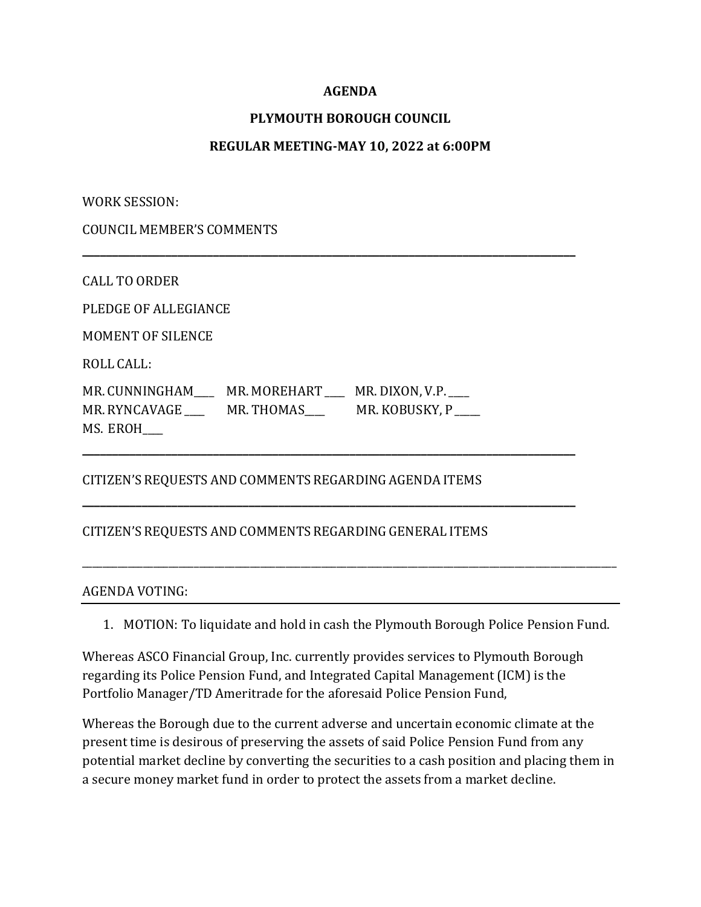# **AGENDA**

# **PLYMOUTH BOROUGH COUNCIL**

### **REGULAR MEETING-MAY 10, 2022 at 6:00PM**

**\_\_\_\_\_\_\_\_\_\_\_\_\_\_\_\_\_\_\_\_\_\_\_\_\_\_\_\_\_\_\_\_\_\_\_\_\_\_\_\_\_\_\_\_\_\_\_\_\_\_\_\_\_\_\_\_\_\_\_\_\_\_\_\_\_\_\_\_\_\_\_\_\_\_\_\_\_\_\_\_\_\_\_**

**\_\_\_\_\_\_\_\_\_\_\_\_\_\_\_\_\_\_\_\_\_\_\_\_\_\_\_\_\_\_\_\_\_\_\_\_\_\_\_\_\_\_\_\_\_\_\_\_\_\_\_\_\_\_\_\_\_\_\_\_\_\_\_\_\_\_\_\_\_\_\_\_\_\_\_\_\_\_\_\_\_\_\_**

**\_\_\_\_\_\_\_\_\_\_\_\_\_\_\_\_\_\_\_\_\_\_\_\_\_\_\_\_\_\_\_\_\_\_\_\_\_\_\_\_\_\_\_\_\_\_\_\_\_\_\_\_\_\_\_\_\_\_\_\_\_\_\_\_\_\_\_\_\_\_\_\_\_\_\_\_\_\_\_\_\_\_\_**

WORK SESSION:

COUNCIL MEMBER'S COMMENTS

CALL TO ORDER

PLEDGE OF ALLEGIANCE

MOMENT OF SILENCE

ROLL CALL:

MR. CUNNINGHAM\_\_\_\_ MR. MOREHART \_\_\_\_ MR. DIXON, V.P.\_\_\_\_ MR. RYNCAVAGE \_\_\_\_\_\_ MR. THOMAS\_\_\_\_\_ MR. KOBUSKY, P MS. EROH\_\_\_\_

# CITIZEN'S REQUESTS AND COMMENTS REGARDING AGENDA ITEMS

#### CITIZEN'S REQUESTS AND COMMENTS REGARDING GENERAL ITEMS

#### AGENDA VOTING:

1. MOTION: To liquidate and hold in cash the Plymouth Borough Police Pension Fund.

\_\_\_\_\_\_\_\_\_\_\_\_\_\_\_\_\_\_\_\_\_\_\_\_\_\_\_\_\_\_\_\_\_\_\_\_\_\_\_\_\_\_\_\_\_\_\_\_\_\_\_\_\_\_\_\_\_\_\_\_\_\_\_\_\_\_\_\_\_\_\_\_\_\_\_\_\_\_\_\_\_\_\_\_\_\_\_\_\_\_\_\_\_\_\_\_\_\_\_\_\_\_\_\_\_

Whereas ASCO Financial Group, Inc. currently provides services to Plymouth Borough regarding its Police Pension Fund, and Integrated Capital Management (ICM) is the Portfolio Manager/TD Ameritrade for the aforesaid Police Pension Fund,

Whereas the Borough due to the current adverse and uncertain economic climate at the present time is desirous of preserving the assets of said Police Pension Fund from any potential market decline by converting the securities to a cash position and placing them in a secure money market fund in order to protect the assets from a market decline.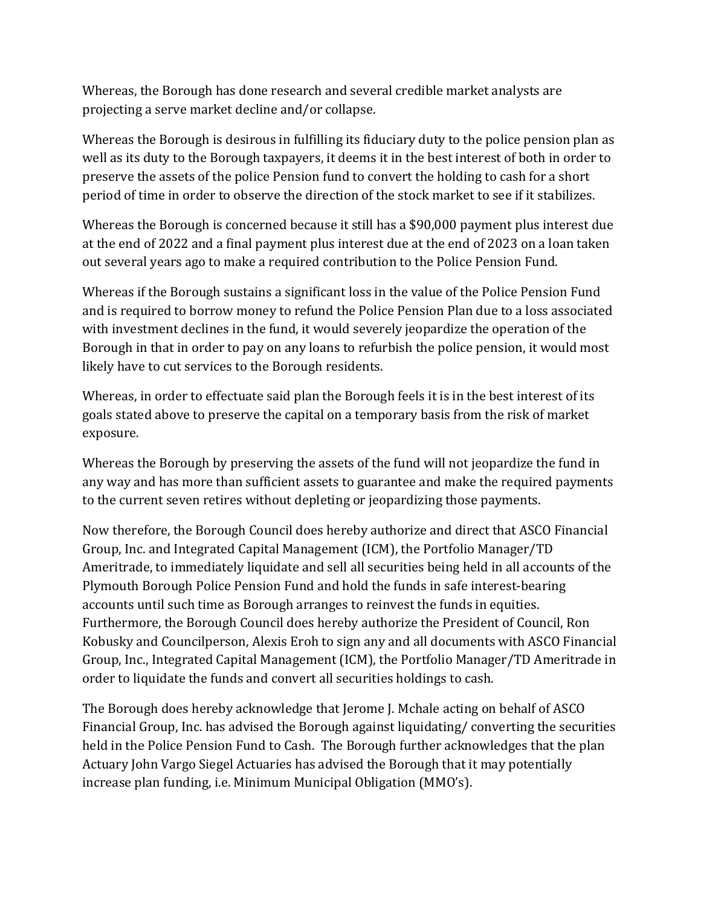Whereas, the Borough has done research and several credible market analysts are projecting a serve market decline and/or collapse.

Whereas the Borough is desirous in fulfilling its fiduciary duty to the police pension plan as well as its duty to the Borough taxpayers, it deems it in the best interest of both in order to preserve the assets of the police Pension fund to convert the holding to cash for a short period of time in order to observe the direction of the stock market to see if it stabilizes.

Whereas the Borough is concerned because it still has a \$90,000 payment plus interest due at the end of 2022 and a final payment plus interest due at the end of 2023 on a loan taken out several years ago to make a required contribution to the Police Pension Fund.

Whereas if the Borough sustains a significant loss in the value of the Police Pension Fund and is required to borrow money to refund the Police Pension Plan due to a loss associated with investment declines in the fund, it would severely jeopardize the operation of the Borough in that in order to pay on any loans to refurbish the police pension, it would most likely have to cut services to the Borough residents.

Whereas, in order to effectuate said plan the Borough feels it is in the best interest of its goals stated above to preserve the capital on a temporary basis from the risk of market exposure.

Whereas the Borough by preserving the assets of the fund will not jeopardize the fund in any way and has more than sufficient assets to guarantee and make the required payments to the current seven retires without depleting or jeopardizing those payments.

Now therefore, the Borough Council does hereby authorize and direct that ASCO Financial Group, Inc. and Integrated Capital Management (ICM), the Portfolio Manager/TD Ameritrade, to immediately liquidate and sell all securities being held in all accounts of the Plymouth Borough Police Pension Fund and hold the funds in safe interest-bearing accounts until such time as Borough arranges to reinvest the funds in equities. Furthermore, the Borough Council does hereby authorize the President of Council, Ron Kobusky and Councilperson, Alexis Eroh to sign any and all documents with ASCO Financial Group, Inc., Integrated Capital Management (ICM), the Portfolio Manager/TD Ameritrade in order to liquidate the funds and convert all securities holdings to cash.

The Borough does hereby acknowledge that Jerome J. Mchale acting on behalf of ASCO Financial Group, Inc. has advised the Borough against liquidating/ converting the securities held in the Police Pension Fund to Cash. The Borough further acknowledges that the plan Actuary John Vargo Siegel Actuaries has advised the Borough that it may potentially increase plan funding, i.e. Minimum Municipal Obligation (MMO's).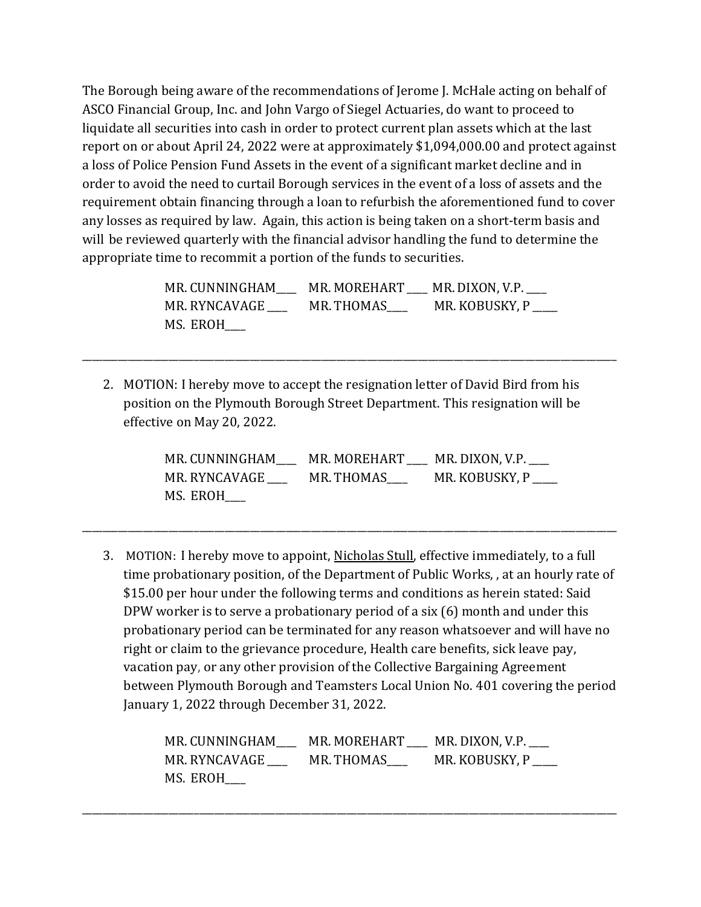The Borough being aware of the recommendations of Jerome J. McHale acting on behalf of ASCO Financial Group, Inc. and John Vargo of Siegel Actuaries, do want to proceed to liquidate all securities into cash in order to protect current plan assets which at the last report on or about April 24, 2022 were at approximately \$1,094,000.00 and protect against a loss of Police Pension Fund Assets in the event of a significant market decline and in order to avoid the need to curtail Borough services in the event of a loss of assets and the requirement obtain financing through a loan to refurbish the aforementioned fund to cover any losses as required by law. Again, this action is being taken on a short-term basis and will be reviewed quarterly with the financial advisor handling the fund to determine the appropriate time to recommit a portion of the funds to securities.

| MR. CUNNINGHAM | MR. MOREHART MR. DIXON, V.P. |                |
|----------------|------------------------------|----------------|
| MR. RYNCAVAGE  | MR. THOMAS                   | MR. KOBUSKY, P |
| MS. EROH       |                              |                |

2. MOTION: I hereby move to accept the resignation letter of David Bird from his position on the Plymouth Borough Street Department. This resignation will be effective on May 20, 2022.

\_\_\_\_\_\_\_\_\_\_\_\_\_\_\_\_\_\_\_\_\_\_\_\_\_\_\_\_\_\_\_\_\_\_\_\_\_\_\_\_\_\_\_\_\_\_\_\_\_\_\_\_\_\_\_\_\_\_\_\_\_\_\_\_\_\_\_\_\_\_\_\_\_\_\_\_\_\_\_\_\_\_\_\_\_\_\_\_\_\_\_\_\_\_\_\_\_\_\_\_\_\_\_\_\_

MR. CUNNINGHAM\_\_\_\_ MR. MOREHART \_\_\_\_ MR. DIXON, V.P.\_\_\_\_ MR. RYNCAVAGE \_\_\_\_\_ MR. THOMAS\_\_\_\_ MR. KOBUSKY, P \_\_\_\_ MS. EROH\_\_\_\_

\_\_\_\_\_\_\_\_\_\_\_\_\_\_\_\_\_\_\_\_\_\_\_\_\_\_\_\_\_\_\_\_\_\_\_\_\_\_\_\_\_\_\_\_\_\_\_\_\_\_\_\_\_\_\_\_\_\_\_\_\_\_\_\_\_\_\_\_\_\_\_\_\_\_\_\_\_\_\_\_\_\_\_\_\_\_\_\_\_\_\_\_\_\_\_\_\_\_\_\_\_\_\_\_\_

3. MOTION: I hereby move to appoint, Nicholas Stull, effective immediately, to a full time probationary position, of the Department of Public Works, , at an hourly rate of \$15.00 per hour under the following terms and conditions as herein stated: Said DPW worker is to serve a probationary period of a six (6) month and under this probationary period can be terminated for any reason whatsoever and will have no right or claim to the grievance procedure, Health care benefits, sick leave pay, vacation pay, or any other provision of the Collective Bargaining Agreement between Plymouth Borough and Teamsters Local Union No. 401 covering the period January 1, 2022 through December 31, 2022.

| MR. CUNNINGHAM | MR. MOREHART | MR. DIXON, V.P. |
|----------------|--------------|-----------------|
| MR. RYNCAVAGE  | MR. THOMAS   | MR. KOBUSKY, P  |
| MS. EROH       |              |                 |

\_\_\_\_\_\_\_\_\_\_\_\_\_\_\_\_\_\_\_\_\_\_\_\_\_\_\_\_\_\_\_\_\_\_\_\_\_\_\_\_\_\_\_\_\_\_\_\_\_\_\_\_\_\_\_\_\_\_\_\_\_\_\_\_\_\_\_\_\_\_\_\_\_\_\_\_\_\_\_\_\_\_\_\_\_\_\_\_\_\_\_\_\_\_\_\_\_\_\_\_\_\_\_\_\_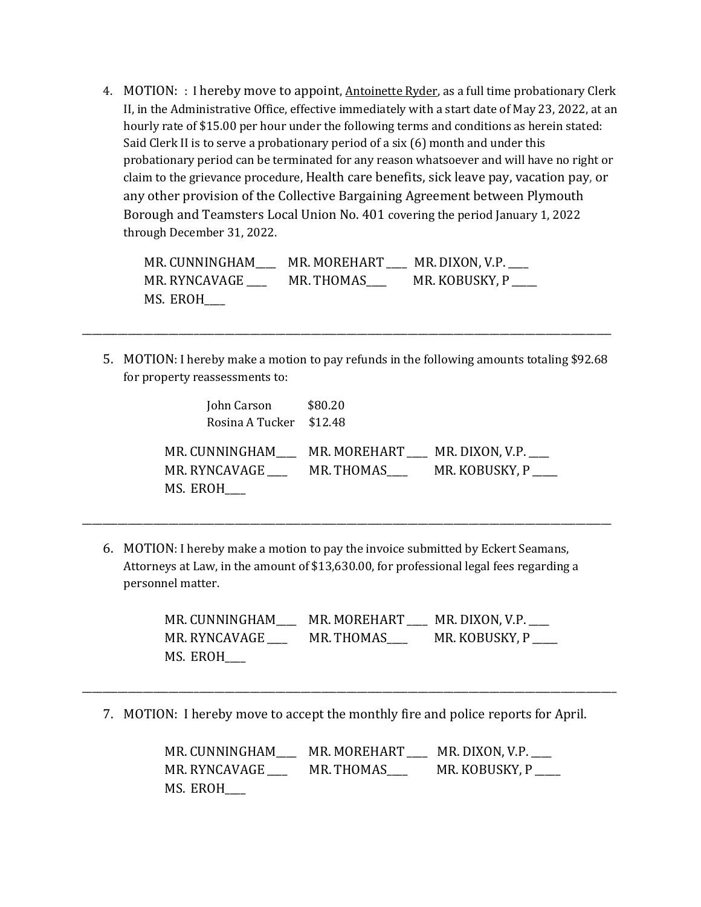4. MOTION: : I hereby move to appoint, Antoinette Ryder, as a full time probationary Clerk II, in the Administrative Office, effective immediately with a start date of May 23, 2022, at an hourly rate of \$15.00 per hour under the following terms and conditions as herein stated: Said Clerk II is to serve a probationary period of a six (6) month and under this probationary period can be terminated for any reason whatsoever and will have no right or claim to the grievance procedure, Health care benefits, sick leave pay, vacation pay, or any other provision of the Collective Bargaining Agreement between Plymouth Borough and Teamsters Local Union No. 401 covering the period January 1, 2022 through December 31, 2022.

| MR. CUNNINGHAM | MR. MOREHART | MR. DIXON, V.P. ___ |
|----------------|--------------|---------------------|
| MR. RYNCAVAGE  | MR. THOMAS   | MR. KOBUSKY, P      |
| MS. EROH       |              |                     |

5. MOTION: I hereby make a motion to pay refunds in the following amounts totaling \$92.68 for property reassessments to:

\_\_\_\_\_\_\_\_\_\_\_\_\_\_\_\_\_\_\_\_\_\_\_\_\_\_\_\_\_\_\_\_\_\_\_\_\_\_\_\_\_\_\_\_\_\_\_\_\_\_\_\_\_\_\_\_\_\_\_\_\_\_\_\_\_\_\_\_\_\_\_\_\_\_\_\_\_\_\_\_\_\_\_\_\_\_\_\_\_\_\_\_\_\_\_\_\_\_\_\_\_\_\_\_

| John Carson             | \$80.20                                     |
|-------------------------|---------------------------------------------|
| Rosina A Tucker \$12.48 |                                             |
|                         | MR. CUNNINGHAM MR. MOREHART MR. DIXON, V.P. |
| MR. RYNCAVAGE           | MR. KOBUSKY, P<br>MR. THOMAS                |
| MS. EROH                |                                             |

6. MOTION: I hereby make a motion to pay the invoice submitted by Eckert Seamans, Attorneys at Law, in the amount of \$13,630.00, for professional legal fees regarding a personnel matter.

\_\_\_\_\_\_\_\_\_\_\_\_\_\_\_\_\_\_\_\_\_\_\_\_\_\_\_\_\_\_\_\_\_\_\_\_\_\_\_\_\_\_\_\_\_\_\_\_\_\_\_\_\_\_\_\_\_\_\_\_\_\_\_\_\_\_\_\_\_\_\_\_\_\_\_\_\_\_\_\_\_\_\_\_\_\_\_\_\_\_\_\_\_\_\_\_\_\_\_\_\_\_\_\_

MR. CUNNINGHAM\_\_\_\_ MR. MOREHART \_\_\_\_ MR. DIXON, V.P.\_\_\_\_ MR. RYNCAVAGE \_\_\_\_\_ MR. THOMAS \_\_\_\_\_ MR. KOBUSKY, P MS. EROH\_\_\_\_

7. MOTION: I hereby move to accept the monthly fire and police reports for April.

\_\_\_\_\_\_\_\_\_\_\_\_\_\_\_\_\_\_\_\_\_\_\_\_\_\_\_\_\_\_\_\_\_\_\_\_\_\_\_\_\_\_\_\_\_\_\_\_\_\_\_\_\_\_\_\_\_\_\_\_\_\_\_\_\_\_\_\_\_\_\_\_\_\_\_\_\_\_\_\_\_\_\_\_\_\_\_\_\_\_\_\_\_\_\_\_\_\_\_\_\_\_\_\_\_

MR. CUNNINGHAM\_\_\_\_ MR. MOREHART \_\_\_ MR. DIXON, V.P. MR. RYNCAVAGE \_\_\_\_\_\_ MR. THOMAS\_\_\_\_\_ MR. KOBUSKY, P \_\_\_\_ MS. EROH\_\_\_\_